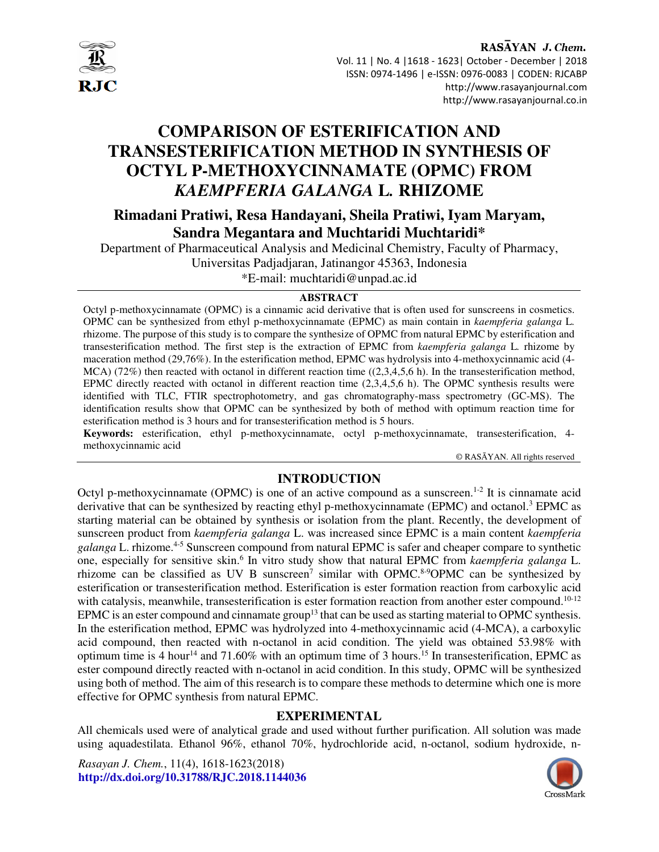

RASAYAN J. Chem. Vol. 11 | No. 4 |1618 - 1623| October - December | 2018 ISSN: 0974-1496 | e-ISSN: 0976-0083 | CODEN: RJCABP http://www.rasayanjournal.com http://www.rasayanjournal.co.in

# **COMPARISON OF ESTERIFICATION AND TRANSESTERIFICATION METHOD IN SYNTHESIS OF OCTYL P-METHOXYCINNAMATE (OPMC) FROM**  *KAEMPFERIA GALANGA* **L***.* **RHIZOME**

# **Rimadani Pratiwi, Resa Handayani, Sheila Pratiwi, Iyam Maryam, Sandra Megantara and Muchtaridi Muchtaridi\***

Department of Pharmaceutical Analysis and Medicinal Chemistry, Faculty of Pharmacy, Universitas Padjadjaran, Jatinangor 45363, Indonesia

\*E-mail: muchtaridi@unpad.ac.id

#### **ABSTRACT**

Octyl p-methoxycinnamate (OPMC) is a cinnamic acid derivative that is often used for sunscreens in cosmetics. OPMC can be synthesized from ethyl p-methoxycinnamate (EPMC) as main contain in *kaempferia galanga* L*.* rhizome. The purpose of this study is to compare the synthesize of OPMC from natural EPMC by esterification and transesterification method. The first step is the extraction of EPMC from *kaempferia galanga* L*.* rhizome by maceration method (29,76%). In the esterification method, EPMC was hydrolysis into 4-methoxycinnamic acid (4-  $MCA$ ) (72%) then reacted with octanol in different reaction time ((2,3,4,5,6 h). In the transesterification method, EPMC directly reacted with octanol in different reaction time (2,3,4,5,6 h). The OPMC synthesis results were identified with TLC, FTIR spectrophotometry, and gas chromatography-mass spectrometry (GC-MS). The identification results show that OPMC can be synthesized by both of method with optimum reaction time for esterification method is 3 hours and for transesterification method is 5 hours.

**Keywords:** esterification, ethyl p-methoxycinnamate, octyl p-methoxycinnamate, transesterification, 4 methoxycinnamic acid

© RASĀYAN. All rights reserved

# **INTRODUCTION**

Octyl p-methoxycinnamate (OPMC) is one of an active compound as a sunscreen.<sup>1-2</sup> It is cinnamate acid derivative that can be synthesized by reacting ethyl p-methoxycinnamate (EPMC) and octanol.<sup>3</sup> EPMC as starting material can be obtained by synthesis or isolation from the plant. Recently, the development of sunscreen product from *kaempferia galanga* L. was increased since EPMC is a main content *kaempferia galanga* L. rhizome.<sup>4-5</sup> Sunscreen compound from natural EPMC is safer and cheaper compare to synthetic one, especially for sensitive skin.<sup>6</sup> In vitro study show that natural EPMC from *kaempferia galanga* L. rhizome can be classified as UV B sunscreen<sup>7</sup> similar with OPMC.<sup>8-9</sup>OPMC can be synthesized by esterification or transesterification method. Esterification is ester formation reaction from carboxylic acid with catalysis, meanwhile, transesterification is ester formation reaction from another ester compound.<sup>10-12</sup> EPMC is an ester compound and cinnamate group<sup>13</sup> that can be used as starting material to OPMC synthesis. In the esterification method, EPMC was hydrolyzed into 4-methoxycinnamic acid (4-MCA), a carboxylic acid compound, then reacted with n-octanol in acid condition. The yield was obtained 53.98% with optimum time is 4 hour<sup>14</sup> and 71.60% with an optimum time of 3 hours.<sup>15</sup> In transesterification, EPMC as ester compound directly reacted with n-octanol in acid condition. In this study, OPMC will be synthesized using both of method. The aim of this research is to compare these methods to determine which one is more effective for OPMC synthesis from natural EPMC.

# **EXPERIMENTAL**

All chemicals used were of analytical grade and used without further purification. All solution was made using aquadestilata. Ethanol 96%, ethanol 70%, hydrochloride acid, n-octanol, sodium hydroxide, n-

*Rasayan J. Chem.*, 11(4), 1618-1623(2018) **http://dx.doi.org/10.31788/RJC.2018.1144036**

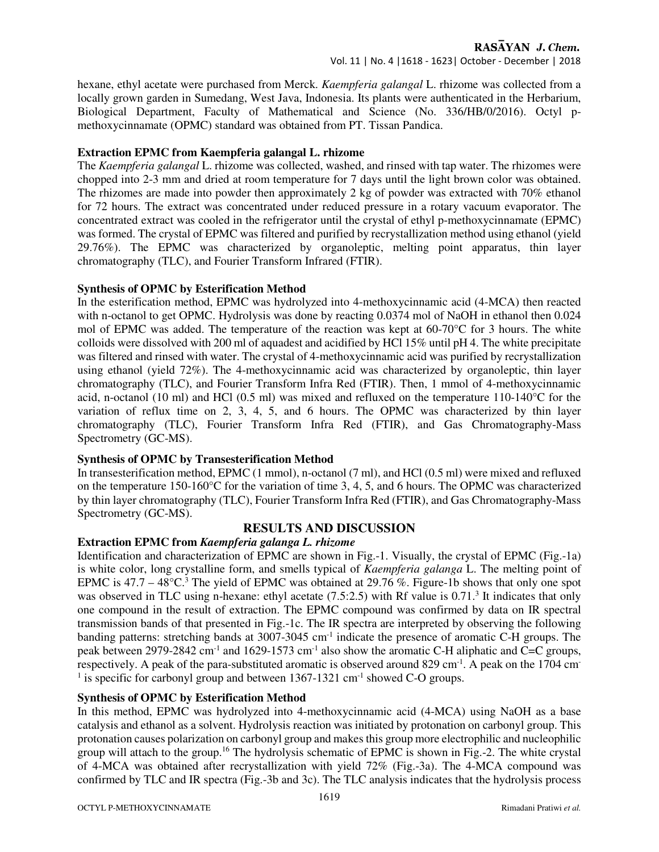#### Vol. 11 | No. 4 |1618 - 1623| October - December | 2018

hexane, ethyl acetate were purchased from Merck. *Kaempferia galangal* L. rhizome was collected from a locally grown garden in Sumedang, West Java, Indonesia. Its plants were authenticated in the Herbarium, Biological Department, Faculty of Mathematical and Science (No. 336/HB/0/2016). Octyl pmethoxycinnamate (OPMC) standard was obtained from PT. Tissan Pandica.

#### **Extraction EPMC from Kaempferia galangal L. rhizome**

The *Kaempferia galangal* L. rhizome was collected, washed, and rinsed with tap water. The rhizomes were chopped into 2-3 mm and dried at room temperature for 7 days until the light brown color was obtained. The rhizomes are made into powder then approximately 2 kg of powder was extracted with 70% ethanol for 72 hours. The extract was concentrated under reduced pressure in a rotary vacuum evaporator. The concentrated extract was cooled in the refrigerator until the crystal of ethyl p-methoxycinnamate (EPMC) was formed. The crystal of EPMC was filtered and purified by recrystallization method using ethanol (yield 29.76%). The EPMC was characterized by organoleptic, melting point apparatus, thin layer chromatography (TLC), and Fourier Transform Infrared (FTIR).

#### **Synthesis of OPMC by Esterification Method**

In the esterification method, EPMC was hydrolyzed into 4-methoxycinnamic acid (4-MCA) then reacted with n-octanol to get OPMC. Hydrolysis was done by reacting 0.0374 mol of NaOH in ethanol then 0.024 mol of EPMC was added. The temperature of the reaction was kept at 60-70°C for 3 hours. The white colloids were dissolved with 200 ml of aquadest and acidified by HCl 15% until pH 4. The white precipitate was filtered and rinsed with water. The crystal of 4-methoxycinnamic acid was purified by recrystallization using ethanol (yield 72%). The 4-methoxycinnamic acid was characterized by organoleptic, thin layer chromatography (TLC), and Fourier Transform Infra Red (FTIR). Then, 1 mmol of 4-methoxycinnamic acid, n-octanol (10 ml) and HCl (0.5 ml) was mixed and refluxed on the temperature 110-140°C for the variation of reflux time on 2, 3, 4, 5, and 6 hours. The OPMC was characterized by thin layer chromatography (TLC), Fourier Transform Infra Red (FTIR), and Gas Chromatography-Mass Spectrometry (GC-MS).

#### **Synthesis of OPMC by Transesterification Method**

In transesterification method, EPMC (1 mmol), n-octanol (7 ml), and HCl (0.5 ml) were mixed and refluxed on the temperature 150-160°C for the variation of time 3, 4, 5, and 6 hours. The OPMC was characterized by thin layer chromatography (TLC), Fourier Transform Infra Red (FTIR), and Gas Chromatography-Mass Spectrometry (GC-MS).

#### **RESULTS AND DISCUSSION**

#### **Extraction EPMC from** *Kaempferia galanga L. rhizome*

Identification and characterization of EPMC are shown in Fig.-1. Visually, the crystal of EPMC (Fig.-1a) is white color, long crystalline form, and smells typical of *Kaempferia galanga* L. The melting point of EPMC is  $47.7 - 48^{\circ}$ C.<sup>3</sup> The yield of EPMC was obtained at 29.76 %. Figure-1b shows that only one spot was observed in TLC using n-hexane: ethyl acetate (7.5:2.5) with Rf value is 0.71.<sup>3</sup> It indicates that only one compound in the result of extraction. The EPMC compound was confirmed by data on IR spectral transmission bands of that presented in Fig.-1c. The IR spectra are interpreted by observing the following banding patterns: stretching bands at 3007-3045 cm<sup>-1</sup> indicate the presence of aromatic C-H groups. The peak between 2979-2842 cm<sup>-1</sup> and 1629-1573 cm<sup>-1</sup> also show the aromatic C-H aliphatic and C=C groups, respectively. A peak of the para-substituted aromatic is observed around 829 cm<sup>-1</sup>. A peak on the 1704 cm<sup>-</sup> <sup>1</sup> is specific for carbonyl group and between  $1367$ -1321 cm<sup>-1</sup> showed C-O groups.

#### **Synthesis of OPMC by Esterification Method**

In this method, EPMC was hydrolyzed into 4-methoxycinnamic acid (4-MCA) using NaOH as a base catalysis and ethanol as a solvent. Hydrolysis reaction was initiated by protonation on carbonyl group. This protonation causes polarization on carbonyl group and makes this group more electrophilic and nucleophilic group will attach to the group.<sup>16</sup> The hydrolysis schematic of EPMC is shown in Fig.-2. The white crystal of 4-MCA was obtained after recrystallization with yield 72% (Fig.-3a). The 4-MCA compound was confirmed by TLC and IR spectra (Fig.-3b and 3c). The TLC analysis indicates that the hydrolysis process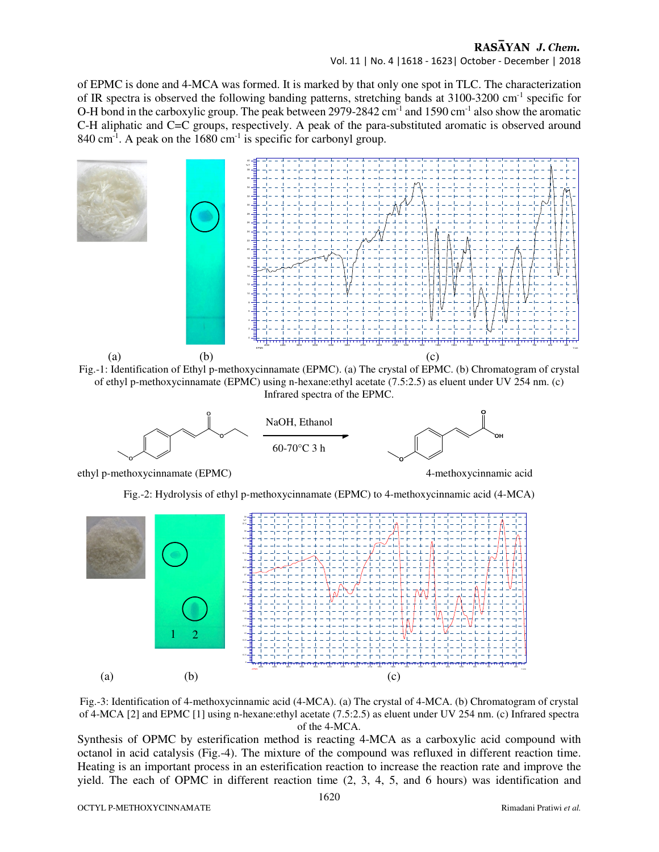#### RASAYAN J. Chem.

Vol. 11 | No. 4 |1618 - 1623| October - December | 2018

of EPMC is done and 4-MCA was formed. It is marked by that only one spot in TLC. The characterization of IR spectra is observed the following banding patterns, stretching bands at 3100-3200 cm-1 specific for O-H bond in the carboxylic group. The peak between 2979-2842 cm<sup>-1</sup> and 1590 cm<sup>-1</sup> also show the aromatic C-H aliphatic and C=C groups, respectively. A peak of the para-substituted aromatic is observed around  $840 \text{ cm}^{-1}$ . A peak on the 1680 cm<sup>-1</sup> is specific for carbonyl group.



Fig.-3: Identification of 4-methoxycinnamic acid (4-MCA). (a) The crystal of 4-MCA. (b) Chromatogram of crystal of 4-MCA [2] and EPMC [1] using n-hexane:ethyl acetate (7.5:2.5) as eluent under UV 254 nm. (c) Infrared spectra of the 4-MCA.

Synthesis of OPMC by esterification method is reacting 4-MCA as a carboxylic acid compound with octanol in acid catalysis (Fig.-4). The mixture of the compound was refluxed in different reaction time. Heating is an important process in an esterification reaction to increase the reaction rate and improve the yield. The each of OPMC in different reaction time (2, 3, 4, 5, and 6 hours) was identification and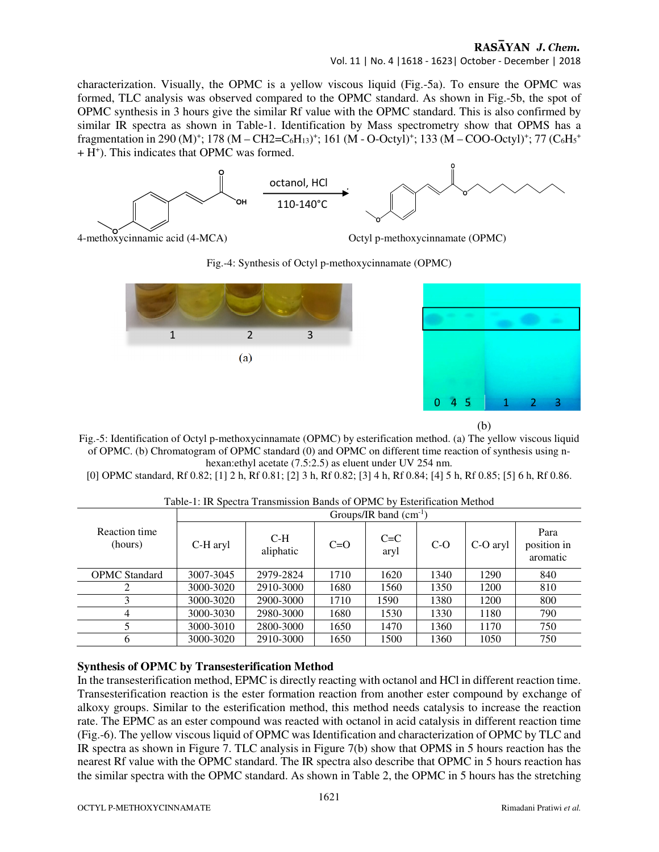### RASAYAN J. Chem.

Vol. 11 | No. 4 |1618 - 1623| October - December | 2018

characterization. Visually, the OPMC is a yellow viscous liquid (Fig.-5a). To ensure the OPMC was formed, TLC analysis was observed compared to the OPMC standard. As shown in Fig.-5b, the spot of OPMC synthesis in 3 hours give the similar Rf value with the OPMC standard. This is also confirmed by similar IR spectra as shown in Table-1. Identification by Mass spectrometry show that OPMS has a fragmentation in 290 (M)<sup>+</sup>; 178 (M – CH2=C<sub>6</sub>H<sub>13</sub>)<sup>+</sup>; 161 (M - O-Octyl)<sup>+</sup>; 133 (M – COO-Octyl)<sup>+</sup>; 77 (C<sub>6</sub>H<sub>5</sub><sup>+</sup>) + H<sup>+</sup> ). This indicates that OPMC was formed.



4-methoxycinnamic acid (4-MCA) Octyl p-methoxycinnamate (OPMC)

Fig.-4: Synthesis of Octyl p-methoxycinnamate (OPMC)







Fig.-5: Identification of Octyl p-methoxycinnamate (OPMC) by esterification method. (a) The yellow viscous liquid of OPMC. (b) Chromatogram of OPMC standard (0) and OPMC on different time reaction of synthesis using nhexan:ethyl acetate (7.5:2.5) as eluent under UV 254 nm.

[0] OPMC standard, Rf 0.82; [1] 2 h, Rf 0.81; [2] 3 h, Rf 0.82; [3] 4 h, Rf 0.84; [4] 5 h, Rf 0.85; [5] 6 h, Rf 0.86.

|                          | Groups/IR band $(cm^{-1})$ |                    |       |                 |       |          |                                 |  |
|--------------------------|----------------------------|--------------------|-------|-----------------|-------|----------|---------------------------------|--|
| Reaction time<br>(hours) | C-H aryl                   | $C-H$<br>aliphatic | $C=O$ | $C = C$<br>aryl | $C-O$ | C-O aryl | Para<br>position in<br>aromatic |  |
| <b>OPMC</b> Standard     | 3007-3045                  | 2979-2824          | 1710  | 1620            | 1340  | 1290     | 840                             |  |
|                          | 3000-3020                  | 2910-3000          | 1680  | 1560            | 1350  | 1200     | 810                             |  |
|                          | 3000-3020                  | 2900-3000          | 1710  | 1590            | 1380  | 1200     | 800                             |  |
| 4                        | 3000-3030                  | 2980-3000          | 1680  | 1530            | 1330  | 1180     | 790                             |  |
|                          | 3000-3010                  | 2800-3000          | 1650  | 1470            | 1360  | 1170     | 750                             |  |
| 6                        | 3000-3020                  | 2910-3000          | 1650  | 1500            | 1360  | 1050     | 750                             |  |

Table-1: IR Spectra Transmission Bands of OPMC by Esterification Method

# **Synthesis of OPMC by Transesterification Method**

In the transesterification method, EPMC is directly reacting with octanol and HCl in different reaction time. Transesterification reaction is the ester formation reaction from another ester compound by exchange of alkoxy groups. Similar to the esterification method, this method needs catalysis to increase the reaction rate. The EPMC as an ester compound was reacted with octanol in acid catalysis in different reaction time (Fig.-6). The yellow viscous liquid of OPMC was Identification and characterization of OPMC by TLC and IR spectra as shown in Figure 7. TLC analysis in Figure 7(b) show that OPMS in 5 hours reaction has the nearest Rf value with the OPMC standard. The IR spectra also describe that OPMC in 5 hours reaction has the similar spectra with the OPMC standard. As shown in Table 2, the OPMC in 5 hours has the stretching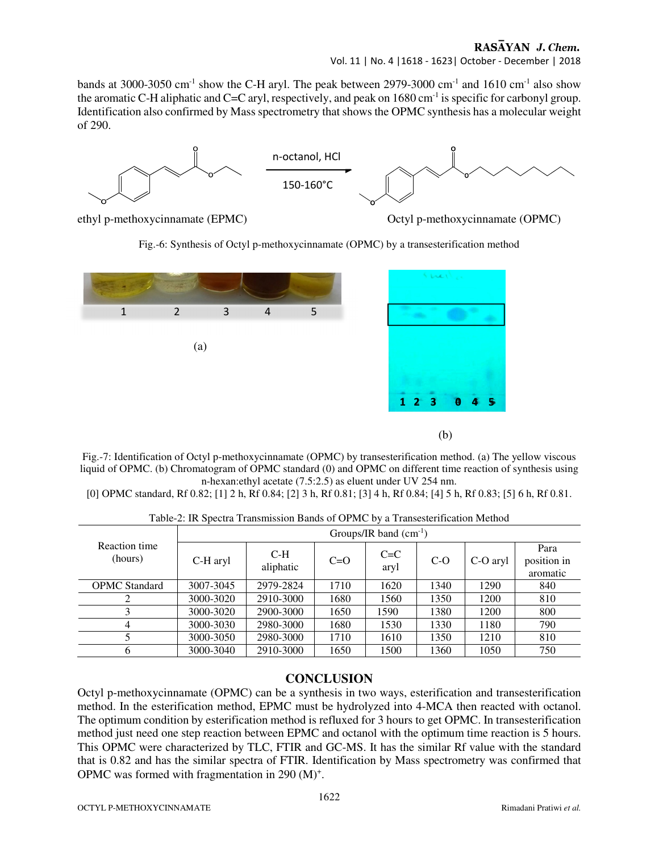#### RASAYAN J. Chem.

Vol. 11 | No. 4 |1618 - 1623| October - December | 2018

bands at 3000-3050 cm<sup>-1</sup> show the C-H aryl. The peak between 2979-3000 cm<sup>-1</sup> and 1610 cm<sup>-1</sup> also show the aromatic C-H aliphatic and C=C aryl, respectively, and peak on 1680 cm<sup>-1</sup> is specific for carbonyl group. Identification also confirmed by Mass spectrometry that shows the OPMC synthesis has a molecular weight of 290.



ethyl p-methoxycinnamate (EPMC) Octyl p-methoxycinnamate (OPMC)

(b)

Fig.-6: Synthesis of Octyl p-methoxycinnamate (OPMC) by a transesterification method



Fig.-7: Identification of Octyl p-methoxycinnamate (OPMC) by transesterification method. (a) The yellow viscous liquid of OPMC. (b) Chromatogram of OPMC standard (0) and OPMC on different time reaction of synthesis using n-hexan:ethyl acetate (7.5:2.5) as eluent under UV 254 nm.

[0] OPMC standard, Rf 0.82; [1] 2 h, Rf 0.84; [2] 3 h, Rf 0.81; [3] 4 h, Rf 0.84; [4] 5 h, Rf 0.83; [5] 6 h, Rf 0.81.

|  |  | Table-2: IR Spectra Transmission Bands of OPMC by a Transesterification Method |  |
|--|--|--------------------------------------------------------------------------------|--|
|  |  |                                                                                |  |

| Reaction time<br>(hours) | Groups/IR band $(cm^{-1})$ |                    |       |                 |       |          |                                 |  |
|--------------------------|----------------------------|--------------------|-------|-----------------|-------|----------|---------------------------------|--|
|                          | C-H aryl                   | $C-H$<br>aliphatic | $C=O$ | $C = C$<br>aryl | $C-O$ | C-O aryl | Para<br>position in<br>aromatic |  |
| <b>OPMC</b> Standard     | 3007-3045                  | 2979-2824          | 1710  | 1620            | 1340  | 1290     | 840                             |  |
|                          | 3000-3020                  | 2910-3000          | 1680  | 1560            | 1350  | 1200     | 810                             |  |
|                          | 3000-3020                  | 2900-3000          | 1650  | 1590            | 1380  | 1200     | 800                             |  |
| 4                        | 3000-3030                  | 2980-3000          | 1680  | 1530            | 1330  | 1180     | 790                             |  |
|                          | 3000-3050                  | 2980-3000          | 1710  | 1610            | 1350  | 1210     | 810                             |  |
| 6                        | 3000-3040                  | 2910-3000          | 1650  | 1500            | 1360  | 1050     | 750                             |  |

#### **CONCLUSION**

Octyl p-methoxycinnamate (OPMC) can be a synthesis in two ways, esterification and transesterification method. In the esterification method, EPMC must be hydrolyzed into 4-MCA then reacted with octanol. The optimum condition by esterification method is refluxed for 3 hours to get OPMC. In transesterification method just need one step reaction between EPMC and octanol with the optimum time reaction is 5 hours. This OPMC were characterized by TLC, FTIR and GC-MS. It has the similar Rf value with the standard that is 0.82 and has the similar spectra of FTIR. Identification by Mass spectrometry was confirmed that OPMC was formed with fragmentation in 290 (M)<sup>+</sup>.